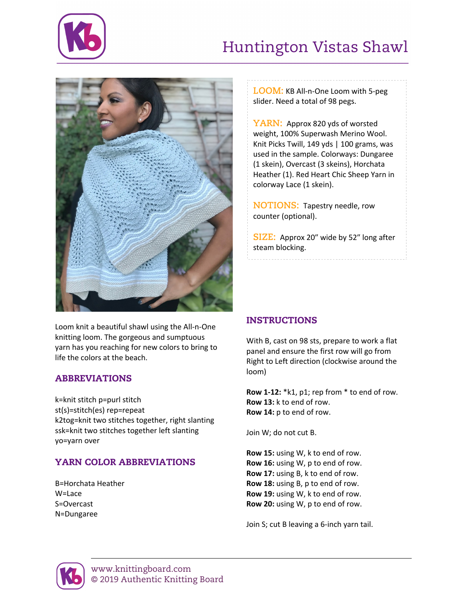



Loom knit a beautiful shawl using the All-n-One knitting loom. The gorgeous and sumptuous yarn has you reaching for new colors to bring to life the colors at the beach.

## ABBREVIATIONS

k=knit stitch p=purl stitch st(s)=stitch(es) rep=repeat k2tog=knit two stitches together, right slanting ssk=knit two stitches together left slanting yo=yarn over

## YARN COLOR ABBREVIATIONS

B=Horchata Heather W=Lace S=Overcast N=Dungaree

**LOOM:** KB All-n-One Loom with 5-peg slider. Need a total of 98 pegs.

**YARN:** Approx 820 yds of worsted weight, 100% Superwash Merino Wool. Knit Picks Twill, 149 yds | 100 grams, was used in the sample. Colorways: Dungaree (1 skein), Overcast (3 skeins), Horchata Heather (1). Red Heart Chic Sheep Yarn in colorway Lace (1 skein).

**NOTIONS:** Tapestry needle, row counter (optional).

**SIZE:** Approx 20" wide by 52" long after steam blocking.

## INSTRUCTIONS

With B, cast on 98 sts, prepare to work a flat panel and ensure the first row will go from Right to Left direction (clockwise around the loom)

**Row 1-12:** \*k1, p1; rep from \* to end of row. **Row 13:** k to end of row. **Row 14:** p to end of row.

Join W; do not cut B.

**Row 15:** using W, k to end of row. **Row 16:** using W, p to end of row. **Row 17:** using B, k to end of row. **Row 18:** using B, p to end of row. **Row 19:** using W, k to end of row. **Row 20:** using W, p to end of row.

Join S; cut B leaving a 6-inch yarn tail.

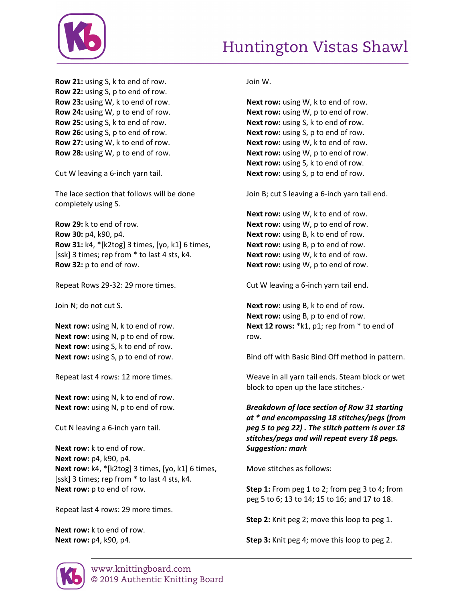

**Row 21:** using S, k to end of row. **Row 22:** using S, p to end of row. **Row 23:** using W, k to end of row. **Row 24:** using W, p to end of row. **Row 25:** using S, k to end of row. **Row 26:** using S, p to end of row. **Row 27:** using W, k to end of row. **Row 28:** using W, p to end of row.

Cut W leaving a 6-inch yarn tail.

The lace section that follows will be done completely using S.

**Row 29:** k to end of row. **Row 30:** p4, k90, p4. **Row 31:** k4, \*[k2tog] 3 times, [yo, k1] 6 times, [ssk] 3 times; rep from \* to last 4 sts, k4. **Row 32:** p to end of row.

Repeat Rows 29-32: 29 more times.

Join N; do not cut S.

**Next row:** using N, k to end of row. **Next row:** using N, p to end of row. **Next row:** using S, k to end of row. **Next row:** using S, p to end of row.

Repeat last 4 rows: 12 more times.

**Next row:** using N, k to end of row. **Next row:** using N, p to end of row.

Cut N leaving a 6-inch yarn tail.

**Next row:** k to end of row. **Next row:** p4, k90, p4. **Next row:** k4, \*[k2tog] 3 times, [yo, k1] 6 times, [ssk] 3 times; rep from \* to last 4 sts, k4. **Next row:** p to end of row.

Repeat last 4 rows: 29 more times.

**Next row:** k to end of row. **Next row:** p4, k90, p4.

Join W.

**Next row:** using W, k to end of row. **Next row:** using W, p to end of row. **Next row:** using S, k to end of row. **Next row:** using S, p to end of row. **Next row:** using W, k to end of row. **Next row:** using W, p to end of row. **Next row:** using S, k to end of row. **Next row:** using S, p to end of row.

Join B; cut S leaving a 6-inch yarn tail end.

**Next row:** using W, k to end of row. **Next row:** using W, p to end of row. **Next row:** using B, k to end of row. **Next row:** using B, p to end of row. **Next row:** using W, k to end of row. **Next row:** using W, p to end of row.

Cut W leaving a 6-inch yarn tail end.

**Next row:** using B, k to end of row. **Next row:** using B, p to end of row. **Next 12 rows:** \*k1, p1; rep from \* to end of row.

Bind off with Basic Bind Off method in pattern.

Weave in all yarn tail ends. Steam block or wet block to open up the lace stitches.·

*Breakdown of lace section of Row 31 starting at \* and encompassing 18 stitches/pegs (from peg 5 to peg 22) . The stitch pattern is over 18 stitches/pegs and will repeat every 18 pegs. Suggestion: mark*

Move stitches as follows:

**Step 1:** From peg 1 to 2; from peg 3 to 4; from peg 5 to 6; 13 to 14; 15 to 16; and 17 to 18.

**Step 2:** Knit peg 2; move this loop to peg 1.

**Step 3:** Knit peg 4; move this loop to peg 2.